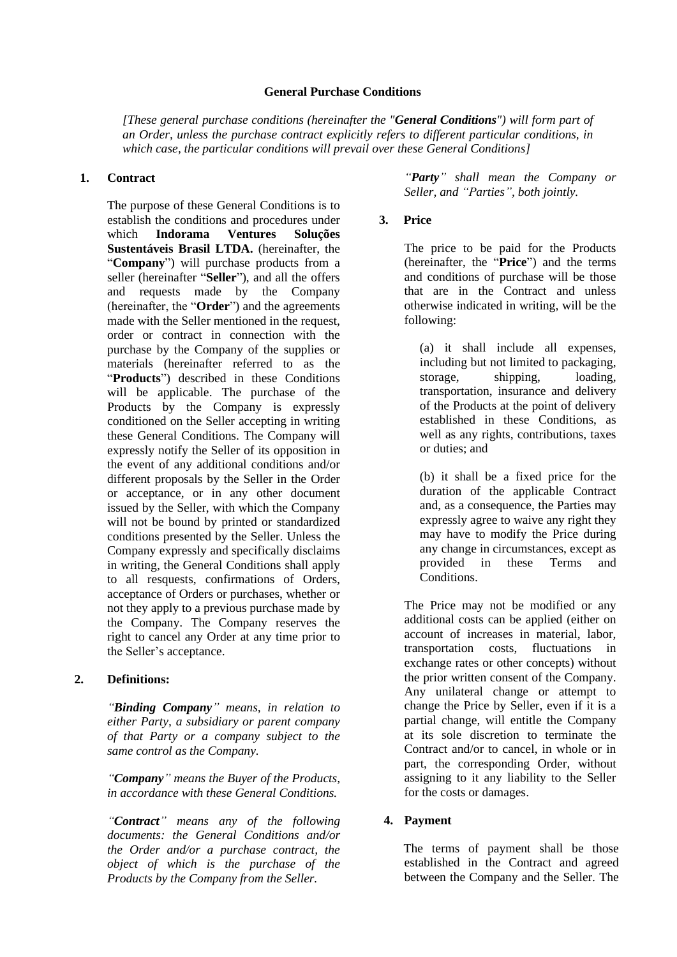#### **General Purchase Conditions**

*[These general purchase conditions (hereinafter the "General Conditions") will form part of an Order, unless the purchase contract explicitly refers to different particular conditions, in which case, the particular conditions will prevail over these General Conditions]*

#### **1. Contract**

The purpose of these General Conditions is to establish the conditions and procedures under which **Indorama Ventures Soluções Sustentáveis Brasil LTDA.** (hereinafter, the "**Company**") will purchase products from a seller (hereinafter "**Seller**"), and all the offers and requests made by the Company (hereinafter, the "**Order**") and the agreements made with the Seller mentioned in the request, order or contract in connection with the purchase by the Company of the supplies or materials (hereinafter referred to as the "**Products**") described in these Conditions will be applicable. The purchase of the Products by the Company is expressly conditioned on the Seller accepting in writing these General Conditions. The Company will expressly notify the Seller of its opposition in the event of any additional conditions and/or different proposals by the Seller in the Order or acceptance, or in any other document issued by the Seller, with which the Company will not be bound by printed or standardized conditions presented by the Seller. Unless the Company expressly and specifically disclaims in writing, the General Conditions shall apply to all resquests, confirmations of Orders, acceptance of Orders or purchases, whether or not they apply to a previous purchase made by the Company. The Company reserves the right to cancel any Order at any time prior to the Seller's acceptance.

## **2. Definitions:**

*"Binding Company" means, in relation to either Party, a subsidiary or parent company of that Party or a company subject to the same control as the Company.*

*"Company" means the Buyer of the Products, in accordance with these General Conditions.*

*"Contract" means any of the following documents: the General Conditions and/or the Order and/or a purchase contract, the object of which is the purchase of the Products by the Company from the Seller.*

*"Party" shall mean the Company or Seller, and "Parties", both jointly.*

### **3. Price**

The price to be paid for the Products (hereinafter, the "**Price**") and the terms and conditions of purchase will be those that are in the Contract and unless otherwise indicated in writing, will be the following:

(a) it shall include all expenses, including but not limited to packaging, storage, shipping, loading, transportation, insurance and delivery of the Products at the point of delivery established in these Conditions, as well as any rights, contributions, taxes or duties; and

(b) it shall be a fixed price for the duration of the applicable Contract and, as a consequence, the Parties may expressly agree to waive any right they may have to modify the Price during any change in circumstances, except as provided in these Terms and Conditions.

The Price may not be modified or any additional costs can be applied (either on account of increases in material, labor, transportation costs, fluctuations in exchange rates or other concepts) without the prior written consent of the Company. Any unilateral change or attempt to change the Price by Seller, even if it is a partial change, will entitle the Company at its sole discretion to terminate the Contract and/or to cancel, in whole or in part, the corresponding Order, without assigning to it any liability to the Seller for the costs or damages.

## **4. Payment**

The terms of payment shall be those established in the Contract and agreed between the Company and the Seller. The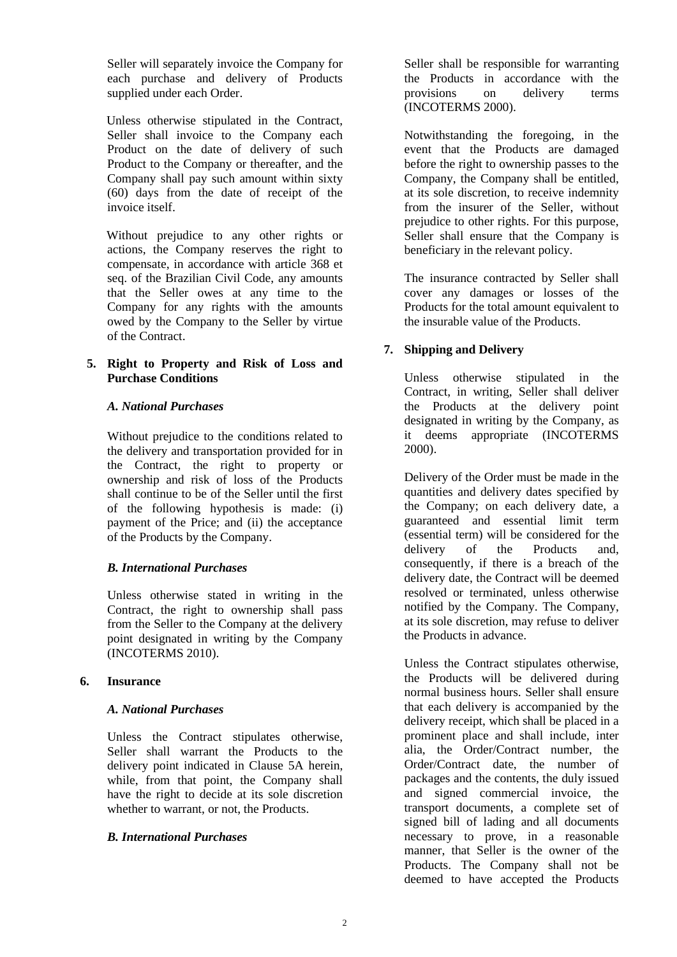Seller will separately invoice the Company for each purchase and delivery of Products supplied under each Order.

Unless otherwise stipulated in the Contract, Seller shall invoice to the Company each Product on the date of delivery of such Product to the Company or thereafter, and the Company shall pay such amount within sixty (60) days from the date of receipt of the invoice itself.

Without prejudice to any other rights or actions, the Company reserves the right to compensate, in accordance with article 368 et seq. of the Brazilian Civil Code, any amounts that the Seller owes at any time to the Company for any rights with the amounts owed by the Company to the Seller by virtue of the Contract.

### **5. Right to Property and Risk of Loss and Purchase Conditions**

### *A. National Purchases*

Without prejudice to the conditions related to the delivery and transportation provided for in the Contract, the right to property or ownership and risk of loss of the Products shall continue to be of the Seller until the first of the following hypothesis is made: (i) payment of the Price; and (ii) the acceptance of the Products by the Company.

#### *B. International Purchases*

Unless otherwise stated in writing in the Contract, the right to ownership shall pass from the Seller to the Company at the delivery point designated in writing by the Company (INCOTERMS 2010).

#### **6. Insurance**

## *A. National Purchases*

Unless the Contract stipulates otherwise, Seller shall warrant the Products to the delivery point indicated in Clause 5A herein, while, from that point, the Company shall have the right to decide at its sole discretion whether to warrant, or not, the Products.

## *B. International Purchases*

Seller shall be responsible for warranting the Products in accordance with the provisions on delivery terms (INCOTERMS 2000).

Notwithstanding the foregoing, in the event that the Products are damaged before the right to ownership passes to the Company, the Company shall be entitled, at its sole discretion, to receive indemnity from the insurer of the Seller, without prejudice to other rights. For this purpose, Seller shall ensure that the Company is beneficiary in the relevant policy.

The insurance contracted by Seller shall cover any damages or losses of the Products for the total amount equivalent to the insurable value of the Products.

# **7. Shipping and Delivery**

Unless otherwise stipulated in the Contract, in writing, Seller shall deliver the Products at the delivery point designated in writing by the Company, as it deems appropriate (INCOTERMS 2000).

Delivery of the Order must be made in the quantities and delivery dates specified by the Company; on each delivery date, a guaranteed and essential limit term (essential term) will be considered for the delivery of the Products and, consequently, if there is a breach of the delivery date, the Contract will be deemed resolved or terminated, unless otherwise notified by the Company. The Company, at its sole discretion, may refuse to deliver the Products in advance.

Unless the Contract stipulates otherwise, the Products will be delivered during normal business hours. Seller shall ensure that each delivery is accompanied by the delivery receipt, which shall be placed in a prominent place and shall include, inter alia, the Order/Contract number, the Order/Contract date, the number of packages and the contents, the duly issued and signed commercial invoice, the transport documents, a complete set of signed bill of lading and all documents necessary to prove, in a reasonable manner, that Seller is the owner of the Products. The Company shall not be deemed to have accepted the Products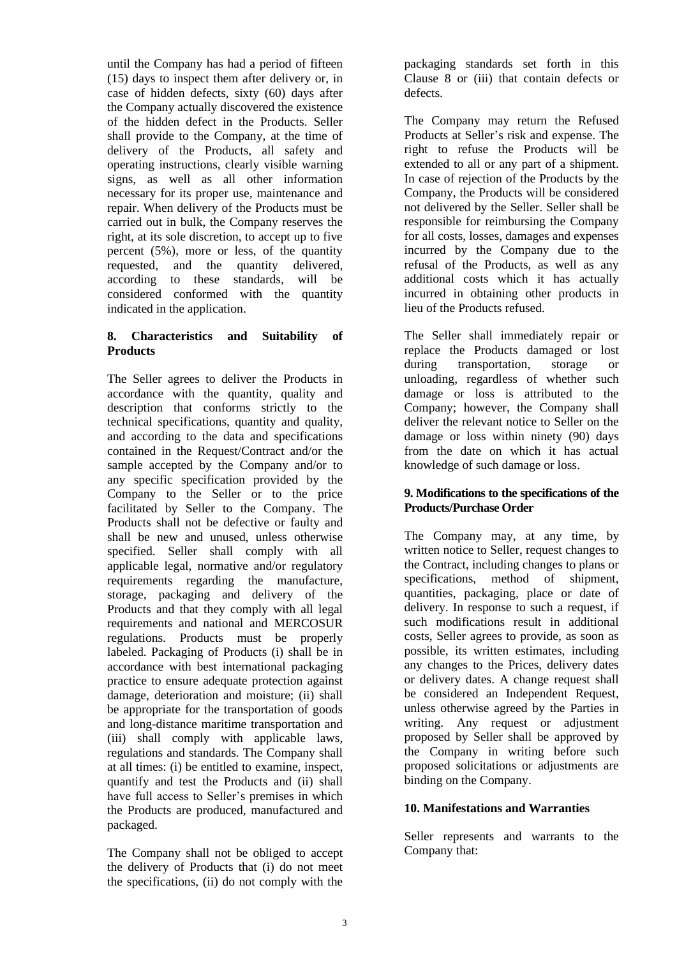until the Company has had a period of fifteen (15) days to inspect them after delivery or, in case of hidden defects, sixty (60) days after the Company actually discovered the existence of the hidden defect in the Products. Seller shall provide to the Company, at the time of delivery of the Products, all safety and operating instructions, clearly visible warning signs, as well as all other information necessary for its proper use, maintenance and repair. When delivery of the Products must be carried out in bulk, the Company reserves the right, at its sole discretion, to accept up to five percent (5%), more or less, of the quantity requested, and the quantity delivered, according to these standards, will be considered conformed with the quantity indicated in the application.

### **8. Characteristics and Suitability of Products**

The Seller agrees to deliver the Products in accordance with the quantity, quality and description that conforms strictly to the technical specifications, quantity and quality, and according to the data and specifications contained in the Request/Contract and/or the sample accepted by the Company and/or to any specific specification provided by the Company to the Seller or to the price facilitated by Seller to the Company. The Products shall not be defective or faulty and shall be new and unused, unless otherwise specified. Seller shall comply with all applicable legal, normative and/or regulatory requirements regarding the manufacture, storage, packaging and delivery of the Products and that they comply with all legal requirements and national and MERCOSUR regulations. Products must be properly labeled. Packaging of Products (i) shall be in accordance with best international packaging practice to ensure adequate protection against damage, deterioration and moisture; (ii) shall be appropriate for the transportation of goods and long-distance maritime transportation and (iii) shall comply with applicable laws, regulations and standards. The Company shall at all times: (i) be entitled to examine, inspect, quantify and test the Products and (ii) shall have full access to Seller's premises in which the Products are produced, manufactured and packaged.

The Company shall not be obliged to accept the delivery of Products that (i) do not meet the specifications, (ii) do not comply with the packaging standards set forth in this Clause 8 or (iii) that contain defects or defects.

The Company may return the Refused Products at Seller's risk and expense. The right to refuse the Products will be extended to all or any part of a shipment. In case of rejection of the Products by the Company, the Products will be considered not delivered by the Seller. Seller shall be responsible for reimbursing the Company for all costs, losses, damages and expenses incurred by the Company due to the refusal of the Products, as well as any additional costs which it has actually incurred in obtaining other products in lieu of the Products refused.

The Seller shall immediately repair or replace the Products damaged or lost during transportation, storage or unloading, regardless of whether such damage or loss is attributed to the Company; however, the Company shall deliver the relevant notice to Seller on the damage or loss within ninety (90) days from the date on which it has actual knowledge of such damage or loss.

### **9. Modifications to the specifications of the Products/Purchase Order**

The Company may, at any time, by written notice to Seller, request changes to the Contract, including changes to plans or specifications, method of shipment, quantities, packaging, place or date of delivery. In response to such a request, if such modifications result in additional costs, Seller agrees to provide, as soon as possible, its written estimates, including any changes to the Prices, delivery dates or delivery dates. A change request shall be considered an Independent Request, unless otherwise agreed by the Parties in writing. Any request or adjustment proposed by Seller shall be approved by the Company in writing before such proposed solicitations or adjustments are binding on the Company.

## **10. Manifestations and Warranties**

Seller represents and warrants to the Company that: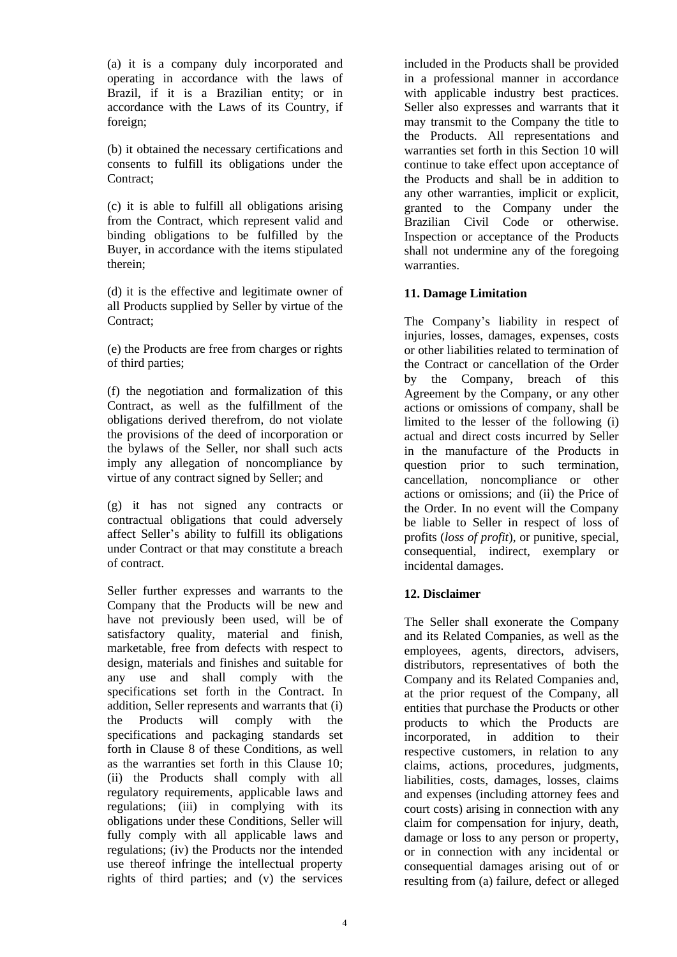(a) it is a company duly incorporated and operating in accordance with the laws of Brazil, if it is a Brazilian entity; or in accordance with the Laws of its Country, if foreign;

(b) it obtained the necessary certifications and consents to fulfill its obligations under the Contract;

(c) it is able to fulfill all obligations arising from the Contract, which represent valid and binding obligations to be fulfilled by the Buyer, in accordance with the items stipulated therein;

(d) it is the effective and legitimate owner of all Products supplied by Seller by virtue of the Contract:

(e) the Products are free from charges or rights of third parties;

(f) the negotiation and formalization of this Contract, as well as the fulfillment of the obligations derived therefrom, do not violate the provisions of the deed of incorporation or the bylaws of the Seller, nor shall such acts imply any allegation of noncompliance by virtue of any contract signed by Seller; and

(g) it has not signed any contracts or contractual obligations that could adversely affect Seller's ability to fulfill its obligations under Contract or that may constitute a breach of contract.

Seller further expresses and warrants to the Company that the Products will be new and have not previously been used, will be of satisfactory quality, material and finish, marketable, free from defects with respect to design, materials and finishes and suitable for any use and shall comply with the specifications set forth in the Contract. In addition, Seller represents and warrants that (i) the Products will comply with the specifications and packaging standards set forth in Clause 8 of these Conditions, as well as the warranties set forth in this Clause 10; (ii) the Products shall comply with all regulatory requirements, applicable laws and regulations; (iii) in complying with its obligations under these Conditions, Seller will fully comply with all applicable laws and regulations; (iv) the Products nor the intended use thereof infringe the intellectual property rights of third parties; and (v) the services included in the Products shall be provided in a professional manner in accordance with applicable industry best practices. Seller also expresses and warrants that it may transmit to the Company the title to the Products. All representations and warranties set forth in this Section 10 will continue to take effect upon acceptance of the Products and shall be in addition to any other warranties, implicit or explicit, granted to the Company under the Brazilian Civil Code or otherwise. Inspection or acceptance of the Products shall not undermine any of the foregoing warranties.

### **11. Damage Limitation**

The Company's liability in respect of injuries, losses, damages, expenses, costs or other liabilities related to termination of the Contract or cancellation of the Order by the Company, breach of this Agreement by the Company, or any other actions or omissions of company, shall be limited to the lesser of the following (i) actual and direct costs incurred by Seller in the manufacture of the Products in question prior to such termination, cancellation, noncompliance or other actions or omissions; and (ii) the Price of the Order. In no event will the Company be liable to Seller in respect of loss of profits (*loss of profit*), or punitive, special, consequential, indirect, exemplary or incidental damages.

#### **12. Disclaimer**

The Seller shall exonerate the Company and its Related Companies, as well as the employees, agents, directors, advisers, distributors, representatives of both the Company and its Related Companies and, at the prior request of the Company, all entities that purchase the Products or other products to which the Products are incorporated, in addition to their respective customers, in relation to any claims, actions, procedures, judgments, liabilities, costs, damages, losses, claims and expenses (including attorney fees and court costs) arising in connection with any claim for compensation for injury, death, damage or loss to any person or property, or in connection with any incidental or consequential damages arising out of or resulting from (a) failure, defect or alleged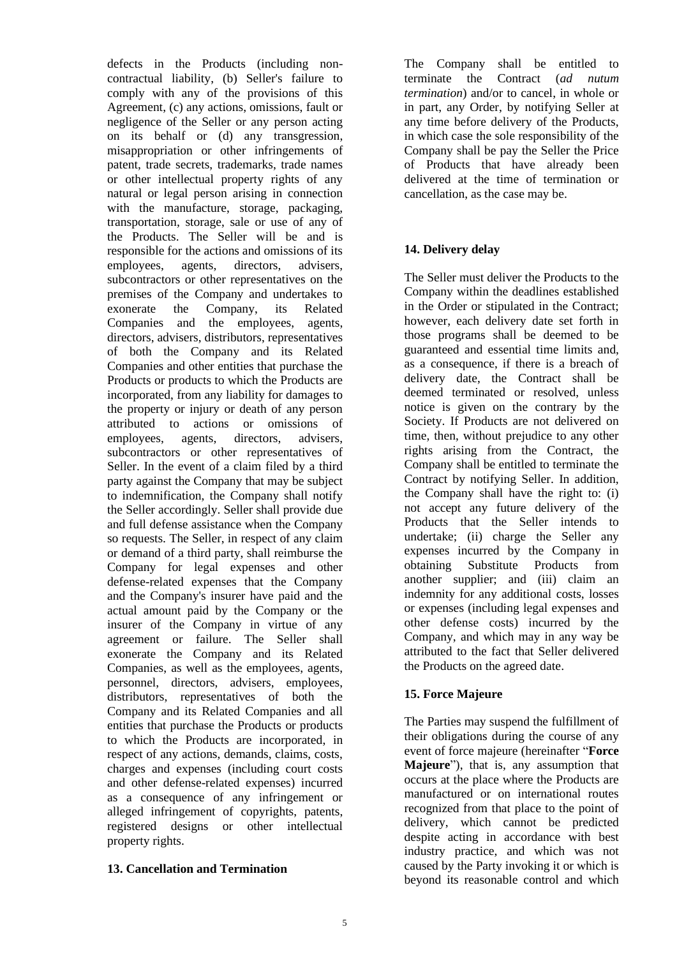defects in the Products (including noncontractual liability, (b) Seller's failure to comply with any of the provisions of this Agreement, (c) any actions, omissions, fault or negligence of the Seller or any person acting on its behalf or (d) any transgression, misappropriation or other infringements of patent, trade secrets, trademarks, trade names or other intellectual property rights of any natural or legal person arising in connection with the manufacture, storage, packaging, transportation, storage, sale or use of any of the Products. The Seller will be and is responsible for the actions and omissions of its employees, agents, directors, advisers, subcontractors or other representatives on the premises of the Company and undertakes to exonerate the Company, its Related Companies and the employees, agents, directors, advisers, distributors, representatives of both the Company and its Related Companies and other entities that purchase the Products or products to which the Products are incorporated, from any liability for damages to the property or injury or death of any person attributed to actions or omissions of employees, agents, directors, advisers, subcontractors or other representatives of Seller. In the event of a claim filed by a third party against the Company that may be subject to indemnification, the Company shall notify the Seller accordingly. Seller shall provide due and full defense assistance when the Company so requests. The Seller, in respect of any claim or demand of a third party, shall reimburse the Company for legal expenses and other defense-related expenses that the Company and the Company's insurer have paid and the actual amount paid by the Company or the insurer of the Company in virtue of any agreement or failure. The Seller shall exonerate the Company and its Related Companies, as well as the employees, agents, personnel, directors, advisers, employees, distributors, representatives of both the Company and its Related Companies and all entities that purchase the Products or products to which the Products are incorporated, in respect of any actions, demands, claims, costs, charges and expenses (including court costs and other defense-related expenses) incurred as a consequence of any infringement or alleged infringement of copyrights, patents, registered designs or other intellectual property rights.

## **13. Cancellation and Termination**

The Company shall be entitled to terminate the Contract (*ad nutum termination*) and/or to cancel, in whole or in part, any Order, by notifying Seller at any time before delivery of the Products, in which case the sole responsibility of the Company shall be pay the Seller the Price of Products that have already been delivered at the time of termination or cancellation, as the case may be.

#### **14. Delivery delay**

The Seller must deliver the Products to the Company within the deadlines established in the Order or stipulated in the Contract; however, each delivery date set forth in those programs shall be deemed to be guaranteed and essential time limits and, as a consequence, if there is a breach of delivery date, the Contract shall be deemed terminated or resolved, unless notice is given on the contrary by the Society. If Products are not delivered on time, then, without prejudice to any other rights arising from the Contract, the Company shall be entitled to terminate the Contract by notifying Seller. In addition, the Company shall have the right to: (i) not accept any future delivery of the Products that the Seller intends to undertake; (ii) charge the Seller any expenses incurred by the Company in obtaining Substitute Products from another supplier; and (iii) claim an indemnity for any additional costs, losses or expenses (including legal expenses and other defense costs) incurred by the Company, and which may in any way be attributed to the fact that Seller delivered the Products on the agreed date.

## **15. Force Majeure**

The Parties may suspend the fulfillment of their obligations during the course of any event of force majeure (hereinafter "**Force Majeure**"), that is, any assumption that occurs at the place where the Products are manufactured or on international routes recognized from that place to the point of delivery, which cannot be predicted despite acting in accordance with best industry practice, and which was not caused by the Party invoking it or which is beyond its reasonable control and which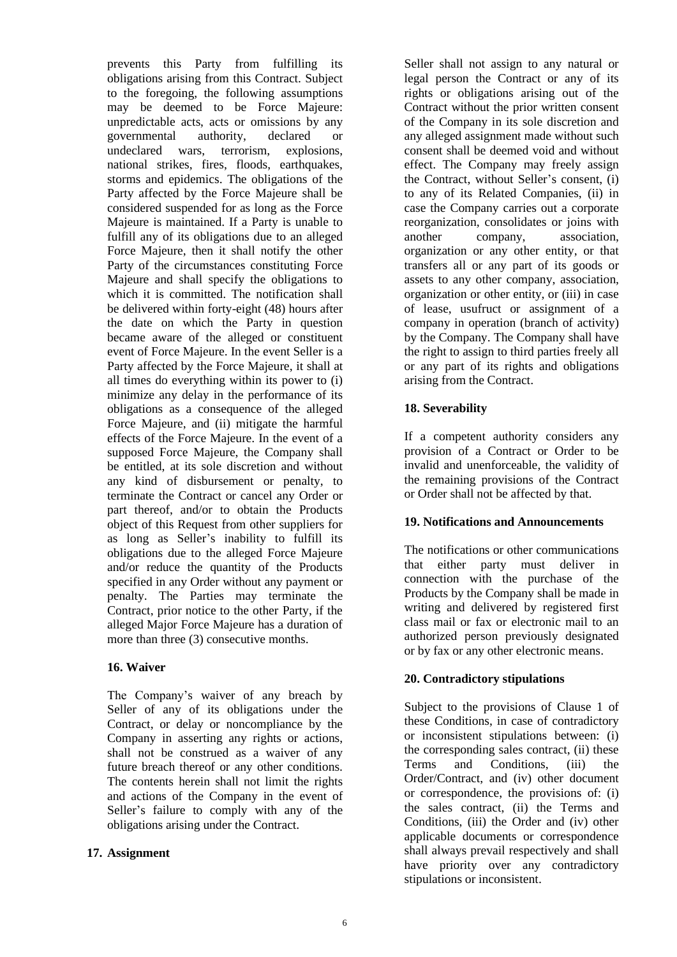prevents this Party from fulfilling its obligations arising from this Contract. Subject to the foregoing, the following assumptions may be deemed to be Force Majeure: unpredictable acts, acts or omissions by any governmental authority, declared or undeclared wars, terrorism, explosions, national strikes, fires, floods, earthquakes, storms and epidemics. The obligations of the Party affected by the Force Majeure shall be considered suspended for as long as the Force Majeure is maintained. If a Party is unable to fulfill any of its obligations due to an alleged Force Majeure, then it shall notify the other Party of the circumstances constituting Force Majeure and shall specify the obligations to which it is committed. The notification shall be delivered within forty-eight (48) hours after the date on which the Party in question became aware of the alleged or constituent event of Force Majeure. In the event Seller is a Party affected by the Force Majeure, it shall at all times do everything within its power to (i) minimize any delay in the performance of its obligations as a consequence of the alleged Force Majeure, and (ii) mitigate the harmful effects of the Force Majeure. In the event of a supposed Force Majeure, the Company shall be entitled, at its sole discretion and without any kind of disbursement or penalty, to terminate the Contract or cancel any Order or part thereof, and/or to obtain the Products object of this Request from other suppliers for as long as Seller's inability to fulfill its obligations due to the alleged Force Majeure and/or reduce the quantity of the Products specified in any Order without any payment or penalty. The Parties may terminate the Contract, prior notice to the other Party, if the alleged Major Force Majeure has a duration of more than three (3) consecutive months.

## **16. Waiver**

The Company's waiver of any breach by Seller of any of its obligations under the Contract, or delay or noncompliance by the Company in asserting any rights or actions, shall not be construed as a waiver of any future breach thereof or any other conditions. The contents herein shall not limit the rights and actions of the Company in the event of Seller's failure to comply with any of the obligations arising under the Contract.

#### **17. Assignment**

Seller shall not assign to any natural or legal person the Contract or any of its rights or obligations arising out of the Contract without the prior written consent of the Company in its sole discretion and any alleged assignment made without such consent shall be deemed void and without effect. The Company may freely assign the Contract, without Seller's consent, (i) to any of its Related Companies, (ii) in case the Company carries out a corporate reorganization, consolidates or joins with another company, association, organization or any other entity, or that transfers all or any part of its goods or assets to any other company, association, organization or other entity, or (iii) in case of lease, usufruct or assignment of a company in operation (branch of activity) by the Company. The Company shall have the right to assign to third parties freely all or any part of its rights and obligations arising from the Contract.

### **18. Severability**

If a competent authority considers any provision of a Contract or Order to be invalid and unenforceable, the validity of the remaining provisions of the Contract or Order shall not be affected by that.

#### **19. Notifications and Announcements**

The notifications or other communications that either party must deliver in connection with the purchase of the Products by the Company shall be made in writing and delivered by registered first class mail or fax or electronic mail to an authorized person previously designated or by fax or any other electronic means.

#### **20. Contradictory stipulations**

Subject to the provisions of Clause 1 of these Conditions, in case of contradictory or inconsistent stipulations between: (i) the corresponding sales contract, (ii) these Terms and Conditions, (iii) the Order/Contract, and (iv) other document or correspondence, the provisions of: (i) the sales contract, (ii) the Terms and Conditions, (iii) the Order and (iv) other applicable documents or correspondence shall always prevail respectively and shall have priority over any contradictory stipulations or inconsistent.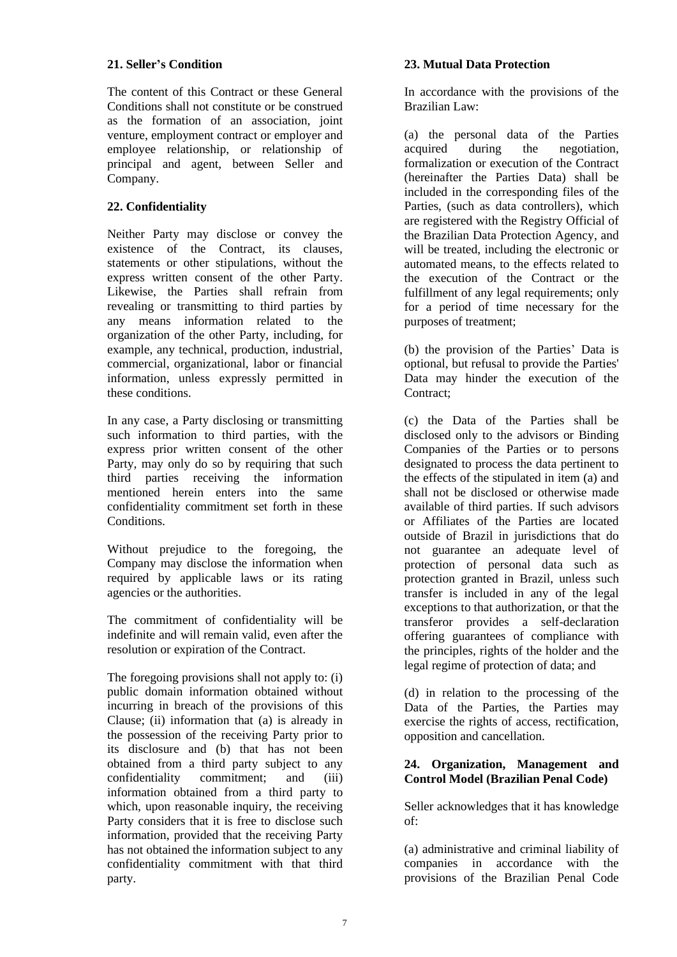### **21. Seller's Condition**

The content of this Contract or these General Conditions shall not constitute or be construed as the formation of an association, joint venture, employment contract or employer and employee relationship, or relationship of principal and agent, between Seller and Company.

## **22. Confidentiality**

Neither Party may disclose or convey the existence of the Contract, its clauses, statements or other stipulations, without the express written consent of the other Party. Likewise, the Parties shall refrain from revealing or transmitting to third parties by any means information related to the organization of the other Party, including, for example, any technical, production, industrial, commercial, organizational, labor or financial information, unless expressly permitted in these conditions.

In any case, a Party disclosing or transmitting such information to third parties, with the express prior written consent of the other Party, may only do so by requiring that such third parties receiving the information mentioned herein enters into the same confidentiality commitment set forth in these Conditions.

Without prejudice to the foregoing, the Company may disclose the information when required by applicable laws or its rating agencies or the authorities.

The commitment of confidentiality will be indefinite and will remain valid, even after the resolution or expiration of the Contract.

The foregoing provisions shall not apply to: (i) public domain information obtained without incurring in breach of the provisions of this Clause; (ii) information that (a) is already in the possession of the receiving Party prior to its disclosure and (b) that has not been obtained from a third party subject to any confidentiality commitment; and (iii) information obtained from a third party to which, upon reasonable inquiry, the receiving Party considers that it is free to disclose such information, provided that the receiving Party has not obtained the information subject to any confidentiality commitment with that third party.

## **23. Mutual Data Protection**

In accordance with the provisions of the Brazilian Law:

(a) the personal data of the Parties acquired during the negotiation, formalization or execution of the Contract (hereinafter the Parties Data) shall be included in the corresponding files of the Parties, (such as data controllers), which are registered with the Registry Official of the Brazilian Data Protection Agency, and will be treated, including the electronic or automated means, to the effects related to the execution of the Contract or the fulfillment of any legal requirements; only for a period of time necessary for the purposes of treatment;

(b) the provision of the Parties' Data is optional, but refusal to provide the Parties' Data may hinder the execution of the Contract;

(c) the Data of the Parties shall be disclosed only to the advisors or Binding Companies of the Parties or to persons designated to process the data pertinent to the effects of the stipulated in item (a) and shall not be disclosed or otherwise made available of third parties. If such advisors or Affiliates of the Parties are located outside of Brazil in jurisdictions that do not guarantee an adequate level of protection of personal data such as protection granted in Brazil, unless such transfer is included in any of the legal exceptions to that authorization, or that the transferor provides a self-declaration offering guarantees of compliance with the principles, rights of the holder and the legal regime of protection of data; and

(d) in relation to the processing of the Data of the Parties, the Parties may exercise the rights of access, rectification, opposition and cancellation.

### **24. Organization, Management and Control Model (Brazilian Penal Code)**

Seller acknowledges that it has knowledge of:

(a) administrative and criminal liability of companies in accordance with the provisions of the Brazilian Penal Code